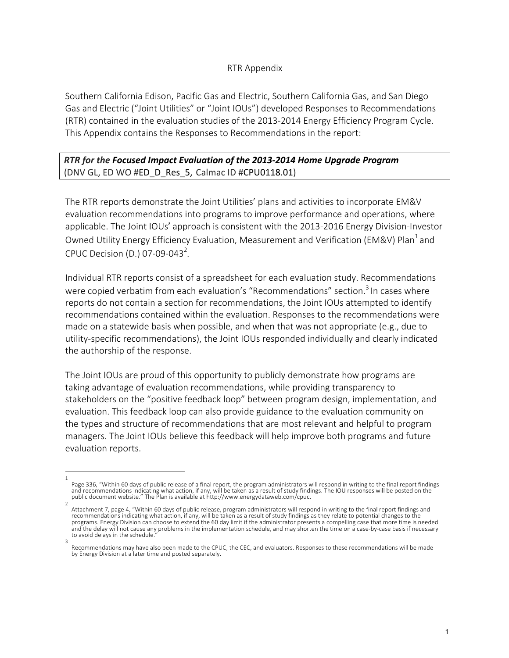## RTR Appendix

Southern California Edison, Pacific Gas and Electric, Southern California Gas, and San Diego Gas and Electric ("Joint Utilities" or "Joint IOUs") developed Responses to Recommendations (RTR) contained in the evaluation studies of the 2013-2014 Energy Efficiency Program Cycle. This Appendix contains the Responses to Recommendations in the report:

## *RTR for the Focused Impact Evaluation of the 2013-2014 Home Upgrade Program* (DNV GL, ED WO #ED\_D\_Res\_5, Calmac ID #CPU0118.01)

The RTR reports demonstrate the Joint Utilities' plans and activities to incorporate EM&V evaluation recommendations into programs to improve performance and operations, where applicable. The Joint IOUs' approach is consistent with the 2013-2016 Energy Division-Investor Owned Utility Energy Efficiency Evaluation, Measurement and Verification (EM&V) Plan<sup>1</sup> and CPUC Decision (D.) 07-09-043<sup>2</sup>.

Individual RTR reports consist of a spreadsheet for each evaluation study. Recommendations were copied verbatim from each evaluation's "Recommendations" section.<sup>3</sup> In cases where reports do not contain a section for recommendations, the Joint IOUs attempted to identify recommendations contained within the evaluation. Responses to the recommendations were made on a statewide basis when possible, and when that was not appropriate (e.g., due to utility-specific recommendations), the Joint IOUs responded individually and clearly indicated the authorship of the response.

The Joint IOUs are proud of this opportunity to publicly demonstrate how programs are taking advantage of evaluation recommendations, while providing transparency to stakeholders on the "positive feedback loop" between program design, implementation, and evaluation. This feedback loop can also provide guidance to the evaluation community on the types and structure of recommendations that are most relevant and helpful to program managers. The Joint IOUs believe this feedback will help improve both programs and future evaluation reports.

<sup>1</sup> Page 336, "Within 60 days of public release of a final report, the program administrators will respond in writing to the final report findings and recommendations indicating what action, if any, will be taken as a result of study findings. The IOU responses will be posted on the<br>public document website." The Plan is available at http://www.energydataweb.com/cpuc.

<sup>2</sup> Attachment 7, page 4, "Within 60 days of public release, program administrators will respond in writing to the final report findings and recommendations indicating what action, if any, will be taken as a result of study findings as they relate to potential changes to the programs. Energy Division can choose to extend the 60 day limit if the administrator presents a compelling case that more time is needed and the delay will not cause any problems in the implementation schedule, and may shorten the time on a case-by-case basis if necessary to avoid delays in the schedule.

<sup>3</sup> Recommendations may have also been made to the CPUC, the CEC, and evaluators. Responses to these recommendations will be made by Energy Division at a later time and posted separately.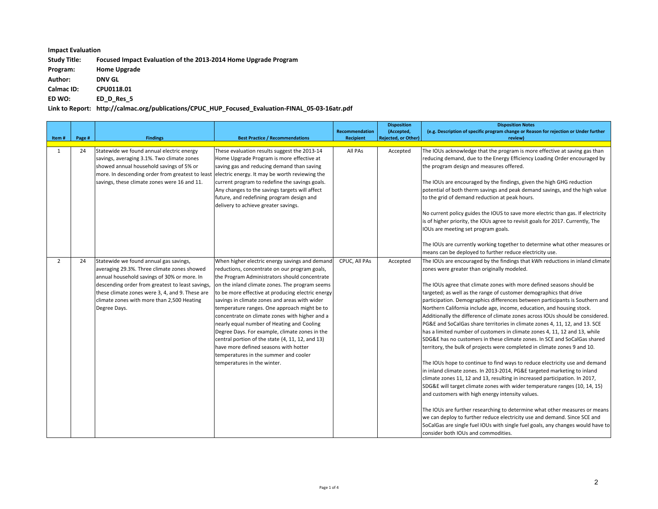## **Impact Evaluation**

Study Title: Focused Impact Evaluation of the 2013-2014 Home Upgrade Program

**Program: Home Upgrade**

**Author: DNV GL**

**Calmac ID: CPU0118.01**<br>**ED WO: ED D Res 5** 

**ED WO: ED\_D\_Res\_5**

Link to Report: http://calmac.org/publications/CPUC\_HUP\_Focused\_Evaluation-FINAL\_05-03-16atr.pdf

|                |        |                                                                                                                                                                                                                                                                                                           |                                                                                                                                                                                                                                                                                                                                                                                                                                                                                                                                                                                                                                                                                 |                                    | <b>Disposition</b>                       | <b>Disposition Notes</b>                                                                                                                                                                                                                                                                                                                                                                                                                                                                                                                                                                                                                                                                                                                                                                                                                                                                                                                                                                                                                                                                                                                                                                                                                                                                                                                                                                                                                                                                                       |
|----------------|--------|-----------------------------------------------------------------------------------------------------------------------------------------------------------------------------------------------------------------------------------------------------------------------------------------------------------|---------------------------------------------------------------------------------------------------------------------------------------------------------------------------------------------------------------------------------------------------------------------------------------------------------------------------------------------------------------------------------------------------------------------------------------------------------------------------------------------------------------------------------------------------------------------------------------------------------------------------------------------------------------------------------|------------------------------------|------------------------------------------|----------------------------------------------------------------------------------------------------------------------------------------------------------------------------------------------------------------------------------------------------------------------------------------------------------------------------------------------------------------------------------------------------------------------------------------------------------------------------------------------------------------------------------------------------------------------------------------------------------------------------------------------------------------------------------------------------------------------------------------------------------------------------------------------------------------------------------------------------------------------------------------------------------------------------------------------------------------------------------------------------------------------------------------------------------------------------------------------------------------------------------------------------------------------------------------------------------------------------------------------------------------------------------------------------------------------------------------------------------------------------------------------------------------------------------------------------------------------------------------------------------------|
| Item#          | Page # | <b>Findings</b>                                                                                                                                                                                                                                                                                           | <b>Best Practice / Recommendations</b>                                                                                                                                                                                                                                                                                                                                                                                                                                                                                                                                                                                                                                          | Recommendation<br><b>Recipient</b> | (Accepted,<br><b>Rejected, or Other)</b> | (e.g. Description of specific program change or Reason for rejection or Under further<br>review)                                                                                                                                                                                                                                                                                                                                                                                                                                                                                                                                                                                                                                                                                                                                                                                                                                                                                                                                                                                                                                                                                                                                                                                                                                                                                                                                                                                                               |
|                |        |                                                                                                                                                                                                                                                                                                           |                                                                                                                                                                                                                                                                                                                                                                                                                                                                                                                                                                                                                                                                                 |                                    |                                          |                                                                                                                                                                                                                                                                                                                                                                                                                                                                                                                                                                                                                                                                                                                                                                                                                                                                                                                                                                                                                                                                                                                                                                                                                                                                                                                                                                                                                                                                                                                |
| $\mathbf{1}$   | 24     | Statewide we found annual electric energy<br>savings, averaging 3.1%. Two climate zones<br>showed annual household savings of 5% or<br>more. In descending order from greatest to least ellectric energy. It may be worth reviewing the<br>savings, these climate zones were 16 and 11.                   | These evaluation results suggest the 2013-14<br>Home Upgrade Program is more effective at<br>saving gas and reducing demand than saving<br>current program to redefine the savings goals.<br>Any changes to the savings targets will affect<br>future, and redefining program design and<br>delivery to achieve greater savings.                                                                                                                                                                                                                                                                                                                                                | All PAs                            | Accepted                                 | The IOUs acknowledge that the program is more effective at saving gas than<br>reducing demand, due to the Energy Efficiency Loading Order encouraged by<br>the program design and measures offered.<br>The IOUs are encouraged by the findings, given the high GHG reduction<br>potential of both therm savings and peak demand savings, and the high value<br>to the grid of demand reduction at peak hours.<br>No current policy guides the IOUS to save more electric than gas. If electricity<br>is of higher priority, the IOUs agree to revisit goals for 2017. Currently, The<br>IOUs are meeting set program goals.<br>The IOUs are currently working together to determine what other measures or                                                                                                                                                                                                                                                                                                                                                                                                                                                                                                                                                                                                                                                                                                                                                                                                     |
|                |        |                                                                                                                                                                                                                                                                                                           |                                                                                                                                                                                                                                                                                                                                                                                                                                                                                                                                                                                                                                                                                 |                                    |                                          | means can be deployed to further reduce electricity use.                                                                                                                                                                                                                                                                                                                                                                                                                                                                                                                                                                                                                                                                                                                                                                                                                                                                                                                                                                                                                                                                                                                                                                                                                                                                                                                                                                                                                                                       |
| $\overline{2}$ | 24     | Statewide we found annual gas savings,<br>averaging 29.3%. Three climate zones showed<br>annual household savings of 30% or more. In<br>descending order from greatest to least savings,<br>these climate zones were 3, 4, and 9. These are<br>climate zones with more than 2,500 Heating<br>Degree Days. | When higher electric energy savings and demand<br>reductions, concentrate on our program goals,<br>the Program Administrators should concentrate<br>on the inland climate zones. The program seems<br>to be more effective at producing electric energy<br>savings in climate zones and areas with wider<br>temperature ranges. One approach might be to<br>concentrate on climate zones with higher and a<br>nearly equal number of Heating and Cooling<br>Degree Days. For example, climate zones in the<br>central portion of the state (4, 11, 12, and 13)<br>have more defined seasons with hotter<br>temperatures in the summer and cooler<br>temperatures in the winter. | CPUC, All PAs                      | Accepted                                 | The IOUs are encouraged by the findings that kWh reductions in inland climate<br>zones were greater than originally modeled.<br>The IOUs agree that climate zones with more defined seasons should be<br>targeted; as well as the range of customer demographics that drive<br>participation. Demographics differences between participants is Southern and<br>Northern California include age, income, education, and housing stock.<br>Additionally the difference of climate zones across IOUs should be considered<br>PG&E and SoCalGas share territories in climate zones 4, 11, 12, and 13. SCE<br>has a limited number of customers in climate zones 4, 11, 12 and 13, while<br>SDG&E has no customers in these climate zones. In SCE and SoCalGas shared<br>territory, the bulk of projects were completed in climate zones 9 and 10.<br>The IOUs hope to continue to find ways to reduce electricity use and demand<br>in inland climate zones. In 2013-2014, PG&E targeted marketing to inland<br>climate zones 11, 12 and 13, resulting in increased participation. In 2017,<br>SDG&E will target climate zones with wider temperature ranges (10, 14, 15)<br>and customers with high energy intensity values.<br>The IOUs are further researching to determine what other measures or means<br>we can deploy to further reduce electricity use and demand. Since SCE and<br>SoCalGas are single fuel IOUs with single fuel goals, any changes would have to<br>consider both IOUs and commodities. |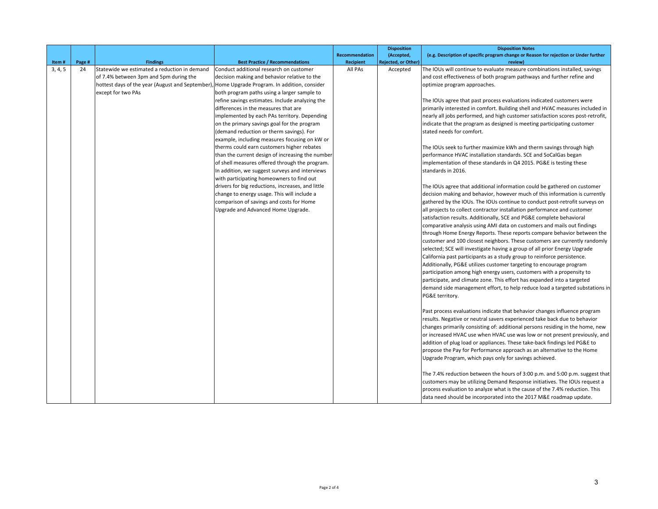|         |        |                                                                                              |                                                   |                  | <b>Disposition</b>         | <b>Disposition Notes</b>                                                              |
|---------|--------|----------------------------------------------------------------------------------------------|---------------------------------------------------|------------------|----------------------------|---------------------------------------------------------------------------------------|
|         |        |                                                                                              |                                                   | Recommendation   | (Accepted,                 | (e.g. Description of specific program change or Reason for rejection or Under further |
| Item#   | Page # | <b>Findings</b>                                                                              | <b>Best Practice / Recommendations</b>            | <b>Recipient</b> | <b>Rejected, or Other)</b> | review)                                                                               |
| 3, 4, 5 | 24     | Statewide we estimated a reduction in demand                                                 | Conduct additional research on customer           | All PAs          | Accepted                   | The IOUs will continue to evaluate measure combinations installed, savings            |
|         |        | of 7.4% between 3pm and 5pm during the                                                       | decision making and behavior relative to the      |                  |                            | and cost effectiveness of both program pathways and further refine and                |
|         |        | hottest days of the year (August and September), Home Upgrade Program. In addition, consider |                                                   |                  |                            | optimize program approaches.                                                          |
|         |        | except for two PAs                                                                           | both program paths using a larger sample to       |                  |                            |                                                                                       |
|         |        |                                                                                              | refine savings estimates. Include analyzing the   |                  |                            | The IOUs agree that past process evaluations indicated customers were                 |
|         |        |                                                                                              | differences in the measures that are              |                  |                            | primarily interested in comfort. Building shell and HVAC measures included in         |
|         |        |                                                                                              | implemented by each PAs territory. Depending      |                  |                            | nearly all jobs performed, and high customer satisfaction scores post-retrofit,       |
|         |        |                                                                                              | on the primary savings goal for the program       |                  |                            | indicate that the program as designed is meeting participating customer               |
|         |        |                                                                                              | (demand reduction or therm savings). For          |                  |                            | stated needs for comfort.                                                             |
|         |        |                                                                                              | example, including measures focusing on kW or     |                  |                            |                                                                                       |
|         |        |                                                                                              | therms could earn customers higher rebates        |                  |                            | The IOUs seek to further maximize kWh and therm savings through high                  |
|         |        |                                                                                              | than the current design of increasing the number  |                  |                            | performance HVAC installation standards. SCE and SoCalGas began                       |
|         |        |                                                                                              | of shell measures offered through the program.    |                  |                            | implementation of these standards in Q4 2015. PG&E is testing these                   |
|         |        |                                                                                              | In addition, we suggest surveys and interviews    |                  |                            | standards in 2016.                                                                    |
|         |        |                                                                                              | with participating homeowners to find out         |                  |                            |                                                                                       |
|         |        |                                                                                              | drivers for big reductions, increases, and little |                  |                            | The IOUs agree that additional information could be gathered on customer              |
|         |        |                                                                                              | change to energy usage. This will include a       |                  |                            | decision making and behavior, however much of this information is currently           |
|         |        |                                                                                              | comparison of savings and costs for Home          |                  |                            | gathered by the IOUs. The IOUs continue to conduct post-retrofit surveys on           |
|         |        |                                                                                              | Upgrade and Advanced Home Upgrade.                |                  |                            | all projects to collect contractor installation performance and customer              |
|         |        |                                                                                              |                                                   |                  |                            | satisfaction results. Additionally, SCE and PG&E complete behavioral                  |
|         |        |                                                                                              |                                                   |                  |                            | comparative analysis using AMI data on customers and mails out findings               |
|         |        |                                                                                              |                                                   |                  |                            | through Home Energy Reports. These reports compare behavior between the               |
|         |        |                                                                                              |                                                   |                  |                            | customer and 100 closest neighbors. These customers are currently randomly            |
|         |        |                                                                                              |                                                   |                  |                            | selected; SCE will investigate having a group of all prior Energy Upgrade             |
|         |        |                                                                                              |                                                   |                  |                            | California past participants as a study group to reinforce persistence.               |
|         |        |                                                                                              |                                                   |                  |                            | Additionally, PG&E utilizes customer targeting to encourage program                   |
|         |        |                                                                                              |                                                   |                  |                            | participation among high energy users, customers with a propensity to                 |
|         |        |                                                                                              |                                                   |                  |                            | participate, and climate zone. This effort has expanded into a targeted               |
|         |        |                                                                                              |                                                   |                  |                            | demand side management effort, to help reduce load a targeted substations in          |
|         |        |                                                                                              |                                                   |                  |                            | PG&E territory.                                                                       |
|         |        |                                                                                              |                                                   |                  |                            |                                                                                       |
|         |        |                                                                                              |                                                   |                  |                            | Past process evaluations indicate that behavior changes influence program             |
|         |        |                                                                                              |                                                   |                  |                            | results. Negative or neutral savers experienced take back due to behavior             |
|         |        |                                                                                              |                                                   |                  |                            | changes primarily consisting of: additional persons residing in the home, new         |
|         |        |                                                                                              |                                                   |                  |                            | or increased HVAC use when HVAC use was low or not present previously, and            |
|         |        |                                                                                              |                                                   |                  |                            | addition of plug load or appliances. These take-back findings led PG&E to             |
|         |        |                                                                                              |                                                   |                  |                            | propose the Pay for Performance approach as an alternative to the Home                |
|         |        |                                                                                              |                                                   |                  |                            | Upgrade Program, which pays only for savings achieved.                                |
|         |        |                                                                                              |                                                   |                  |                            |                                                                                       |
|         |        |                                                                                              |                                                   |                  |                            | The 7.4% reduction between the hours of 3:00 p.m. and 5:00 p.m. suggest that          |
|         |        |                                                                                              |                                                   |                  |                            | customers may be utilizing Demand Response initiatives. The IOUs request a            |
|         |        |                                                                                              |                                                   |                  |                            | process evaluation to analyze what is the cause of the 7.4% reduction. This           |
|         |        |                                                                                              |                                                   |                  |                            | data need should be incorporated into the 2017 M&E roadmap update.                    |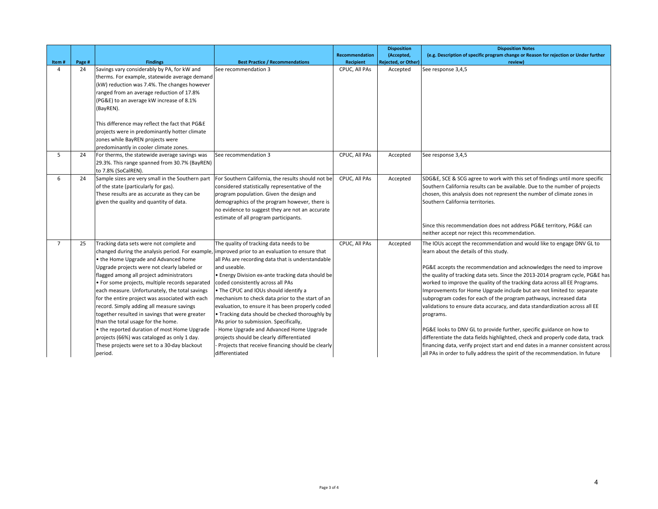|                |        |                                                                                                                                                                                                                                                                                                                                                                                                                                                                                                                                                                                                                                                                                         |                                                                                                                                                                                                                                                                                                                                                                                                                                                                                                                                                                                                                                                                       | <b>Recommendation</b> | <b>Disposition</b><br>(Accepted, | <b>Disposition Notes</b><br>(e.g. Description of specific program change or Reason for rejection or Under further                                                                                                                                                                                                                                                                                                                                                                                                                                                                                                                                                                                                                                                                                                                                                                                                                 |
|----------------|--------|-----------------------------------------------------------------------------------------------------------------------------------------------------------------------------------------------------------------------------------------------------------------------------------------------------------------------------------------------------------------------------------------------------------------------------------------------------------------------------------------------------------------------------------------------------------------------------------------------------------------------------------------------------------------------------------------|-----------------------------------------------------------------------------------------------------------------------------------------------------------------------------------------------------------------------------------------------------------------------------------------------------------------------------------------------------------------------------------------------------------------------------------------------------------------------------------------------------------------------------------------------------------------------------------------------------------------------------------------------------------------------|-----------------------|----------------------------------|-----------------------------------------------------------------------------------------------------------------------------------------------------------------------------------------------------------------------------------------------------------------------------------------------------------------------------------------------------------------------------------------------------------------------------------------------------------------------------------------------------------------------------------------------------------------------------------------------------------------------------------------------------------------------------------------------------------------------------------------------------------------------------------------------------------------------------------------------------------------------------------------------------------------------------------|
| Item#          | Page # | <b>Findings</b>                                                                                                                                                                                                                                                                                                                                                                                                                                                                                                                                                                                                                                                                         | <b>Best Practice / Recommendations</b>                                                                                                                                                                                                                                                                                                                                                                                                                                                                                                                                                                                                                                | <b>Recipient</b>      | <b>Rejected, or Other)</b>       | review)                                                                                                                                                                                                                                                                                                                                                                                                                                                                                                                                                                                                                                                                                                                                                                                                                                                                                                                           |
| 4              | 24     | Savings vary considerably by PA, for kW and<br>therms. For example, statewide average demand<br>(kW) reduction was 7.4%. The changes however<br>ranged from an average reduction of 17.8%<br>(PG&E) to an average kW increase of 8.1%<br>(BayREN).                                                                                                                                                                                                                                                                                                                                                                                                                                      | See recommendation 3                                                                                                                                                                                                                                                                                                                                                                                                                                                                                                                                                                                                                                                  | CPUC, All PAs         | Accepted                         | See response 3,4,5                                                                                                                                                                                                                                                                                                                                                                                                                                                                                                                                                                                                                                                                                                                                                                                                                                                                                                                |
|                |        | This difference may reflect the fact that PG&E<br>projects were in predominantly hotter climate<br>zones while BayREN projects were<br>predominantly in cooler climate zones.                                                                                                                                                                                                                                                                                                                                                                                                                                                                                                           |                                                                                                                                                                                                                                                                                                                                                                                                                                                                                                                                                                                                                                                                       |                       |                                  |                                                                                                                                                                                                                                                                                                                                                                                                                                                                                                                                                                                                                                                                                                                                                                                                                                                                                                                                   |
| 5              | 24     | For therms, the statewide average savings was<br>29.3%. This range spanned from 30.7% (BayREN)<br>to 7.8% (SoCalREN).                                                                                                                                                                                                                                                                                                                                                                                                                                                                                                                                                                   | See recommendation 3                                                                                                                                                                                                                                                                                                                                                                                                                                                                                                                                                                                                                                                  | CPUC, All PAs         | Accepted                         | See response 3,4,5                                                                                                                                                                                                                                                                                                                                                                                                                                                                                                                                                                                                                                                                                                                                                                                                                                                                                                                |
| 6              | 24     | Sample sizes are very small in the Southern part<br>of the state (particularly for gas).<br>These results are as accurate as they can be<br>given the quality and quantity of data.                                                                                                                                                                                                                                                                                                                                                                                                                                                                                                     | For Southern California, the results should not be<br>considered statistically representative of the<br>program population. Given the design and<br>demographics of the program however, there is<br>no evidence to suggest they are not an accurate<br>estimate of all program participants.                                                                                                                                                                                                                                                                                                                                                                         | CPUC, All PAs         | Accepted                         | SDG&E, SCE & SCG agree to work with this set of findings until more specific<br>Southern California results can be available. Due to the number of projects<br>chosen, this analysis does not represent the number of climate zones in<br>Southern California territories.<br>Since this recommendation does not address PG&E territory, PG&E can<br>neither accept nor reject this recommendation.                                                                                                                                                                                                                                                                                                                                                                                                                                                                                                                               |
| $\overline{7}$ | 25     | Tracking data sets were not complete and<br>changed during the analysis period. For example,<br>• the Home Upgrade and Advanced home<br>Upgrade projects were not clearly labeled or<br>flagged among all project administrators<br>• For some projects, multiple records separated<br>each measure. Unfortunately, the total savings<br>for the entire project was associated with each<br>record. Simply adding all measure savings<br>together resulted in savings that were greater<br>than the total usage for the home.<br>• the reported duration of most Home Upgrade<br>projects (66%) was cataloged as only 1 day.<br>These projects were set to a 30-day blackout<br>period. | The quality of tracking data needs to be<br>improved prior to an evaluation to ensure that<br>all PAs are recording data that is understandable<br>and useable.<br>• Energy Division ex-ante tracking data should be<br>coded consistently across all PAs<br>. The CPUC and IOUs should identify a<br>mechanism to check data prior to the start of an<br>evaluation, to ensure it has been properly coded<br>. Tracking data should be checked thoroughly by<br>PAs prior to submission. Specifically,<br>Home Upgrade and Advanced Home Upgrade<br>projects should be clearly differentiated<br>Projects that receive financing should be clearly<br>differentiated | CPUC, All PAs         | Accepted                         | The IOUs accept the recommendation and would like to engage DNV GL to<br>learn about the details of this study.<br>PG&E accepts the recommendation and acknowledges the need to improve<br>the quality of tracking data sets. Since the 2013-2014 program cycle, PG&E has<br>worked to improve the quality of the tracking data across all EE Programs.<br>Improvements for Home Upgrade include but are not limited to: separate<br>subprogram codes for each of the program pathways, increased data<br>validations to ensure data accuracy, and data standardization across all EE<br>programs.<br>PG&E looks to DNV GL to provide further, specific guidance on how to<br>differentiate the data fields highlighted, check and properly code data, track<br>financing data, verify project start and end dates in a manner consistent across<br>all PAs in order to fully address the spirit of the recommendation. In future |